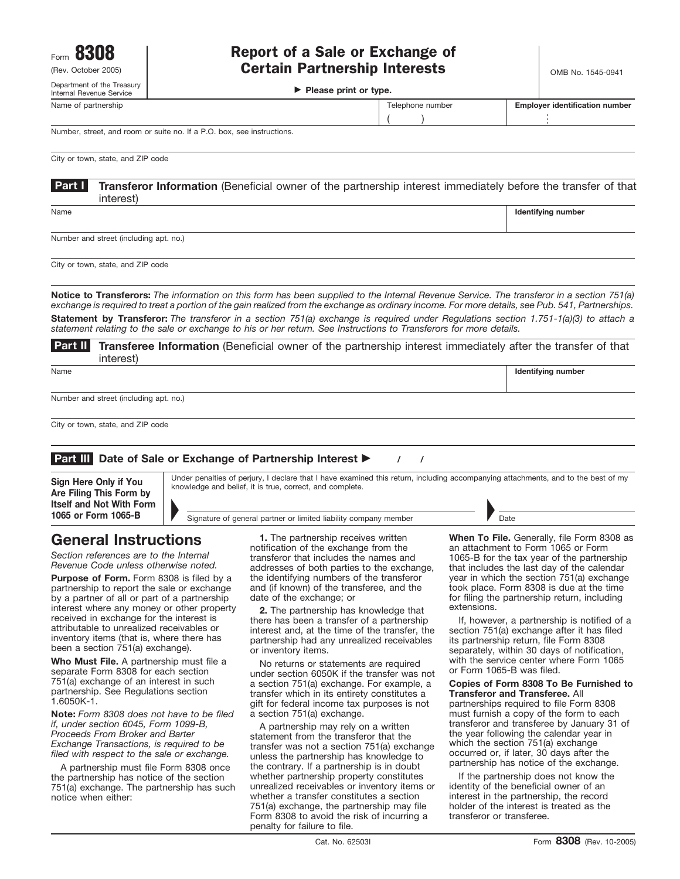Department of the Treasury

**Please print or type.**

| Internal Revenue Service | Please print or type. |                  |  |                                       |
|--------------------------|-----------------------|------------------|--|---------------------------------------|
| Name of partnership      |                       | Telephone number |  | <b>Emplover identification number</b> |
|                          |                       |                  |  |                                       |

Number, street, and room or suite no. If a P.O. box, see instructions.

City or town, state, and ZIP code

**Transferor Information** (Beneficial owner of the partnership interest immediately before the transfer of that interest) **Part I**

Name **Internal and the control of the control of the control of the control of the control of the control of the control of the control of the control of the control of the control of the control of the control of the cont** 

Number and street (including apt. no.)

City or town, state, and ZIP code

**Notice to Transferors:** *The information on this form has been supplied to the Internal Revenue Service. The transferor in a section 751(a) exchange is required to treat a portion of the gain realized from the exchange as ordinary income. For more details, see Pub. 541, Partnerships.* **Statement by Transferor:** *The transferor in a section 751(a) exchange is required under Regulations section 1.751-1(a)(3) to attach a statement relating to the sale or exchange to his or her return. See Instructions to Transferors for more details.*

**Transferee Information** (Beneficial owner of the partnership interest immediately after the transfer of that interest) **Part II**

Name **Identifying number Identifying number Identifying number Identifying number** 

Number and street (including apt. no.)

City or town, state, and ZIP code

## **Part III** Date of Sale or Exchange of Partnership Interest  $\blacktriangleright$  / /

**Are Filing This Form by Itself and Not With Form 1065 or Form 1065-B** 

Under penalties of perjury, I declare that I have examined this return, including accompanying attachments, and to the best of my **Sign Here Only if You** Under penalties of perjury, I declare that I have examined and belief, it is true, correct, and complete.

# **General Instructions**

*Section references are to the Internal Revenue Code unless otherwise noted.*

Purpose of Form. Form 8308 is filed by a partnership to report the sale or exchange by a partner of all or part of a partnership interest where any money or other property received in exchange for the interest is attributable to unrealized receivables or inventory items (that is, where there has been a section 751(a) exchange).

**Who Must File.** A partnership must file a separate Form 8308 for each section 751(a) exchange of an interest in such partnership. See Regulations section 1.6050K-1.

**Note:** *Form 8308 does not have to be filed if, under section 6045, Form 1099-B, Proceeds From Broker and Barter Exchange Transactions, is required to be filed with respect to the sale or exchange.*

A partnership must file Form 8308 once the partnership has notice of the section 751(a) exchange. The partnership has such notice when either:

**1.** The partnership receives written notification of the exchange from the transferor that includes the names and addresses of both parties to the exchange, the identifying numbers of the transferor and (if known) of the transferee, and the date of the exchange; or

Signature of general partner or limited liability company member

**2.** The partnership has knowledge that there has been a transfer of a partnership interest and, at the time of the transfer, the partnership had any unrealized receivables or inventory items.

No returns or statements are required under section 6050K if the transfer was not a section 751(a) exchange. For example, a transfer which in its entirety constitutes a gift for federal income tax purposes is not a section 751(a) exchange.

A partnership may rely on a written statement from the transferor that the transfer was not a section 751(a) exchange unless the partnership has knowledge to the contrary. If a partnership is in doubt whether partnership property constitutes unrealized receivables or inventory items or whether a transfer constitutes a section 751(a) exchange, the partnership may file Form 8308 to avoid the risk of incurring a penalty for failure to file.

**When To File.** Generally, file Form 8308 as an attachment to Form 1065 or Form 1065-B for the tax year of the partnership that includes the last day of the calendar year in which the section 751(a) exchange took place. Form 8308 is due at the time for filing the partnership return, including extensions.

If, however, a partnership is notified of a section 751(a) exchange after it has filed its partnership return, file Form 8308 separately, within 30 days of notification, with the service center where Form 1065 or Form 1065-B was filed.

**Copies of Form 8308 To Be Furnished to Transferor and Transferee.** All partnerships required to file Form 8308 must furnish a copy of the form to each transferor and transferee by January 31 of the year following the calendar year in which the section 751(a) exchange occurred or, if later, 30 days after the partnership has notice of the exchange.

If the partnership does not know the identity of the beneficial owner of an interest in the partnership, the record holder of the interest is treated as the transferor or transferee.